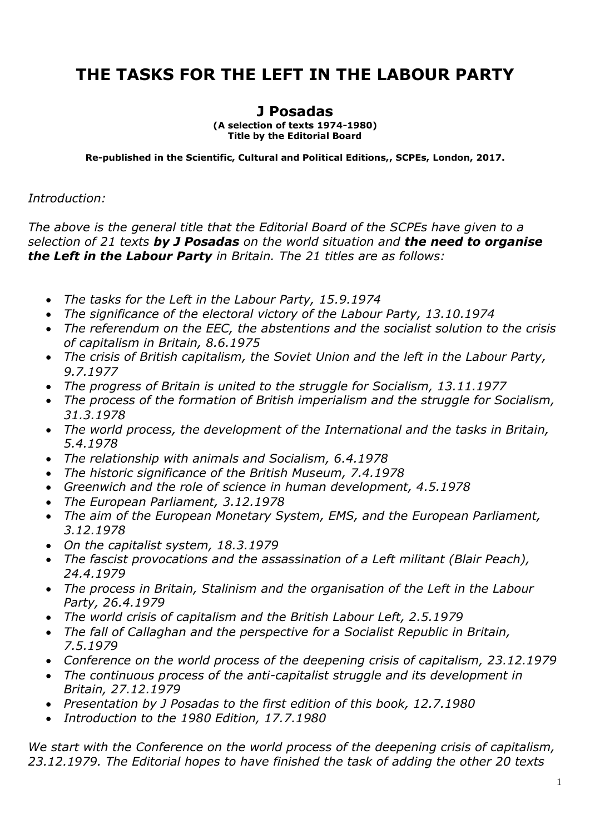## **THE TASKS FOR THE LEFT IN THE LABOUR PARTY**

## **J Posadas**

**(A selection of texts 1974-1980) Title by the Editorial Board**

**Re-published in the Scientific, Cultural and Political Editions,, SCPEs, London, 2017.**

## *Introduction:*

*The above is the general title that the Editorial Board of the SCPEs have given to a selection of 21 texts by J Posadas on the world situation and the need to organise the Left in the Labour Party in Britain. The 21 titles are as follows:*

- *The tasks for the Left in the Labour Party, 15.9.1974*
- *The significance of the electoral victory of the Labour Party, 13.10.1974*
- *The referendum on the EEC, the abstentions and the socialist solution to the crisis of capitalism in Britain, 8.6.1975*
- *The crisis of British capitalism, the Soviet Union and the left in the Labour Party, 9.7.1977*
- *The progress of Britain is united to the struggle for Socialism, 13.11.1977*
- *The process of the formation of British imperialism and the struggle for Socialism, 31.3.1978*
- *The world process, the development of the International and the tasks in Britain, 5.4.1978*
- *The relationship with animals and Socialism, 6.4.1978*
- *The historic significance of the British Museum, 7.4.1978*
- *Greenwich and the role of science in human development, 4.5.1978*
- *The European Parliament, 3.12.1978*
- *The aim of the European Monetary System, EMS, and the European Parliament, 3.12.1978*
- *On the capitalist system, 18.3.1979*
- *The fascist provocations and the assassination of a Left militant (Blair Peach), 24.4.1979*
- *The process in Britain, Stalinism and the organisation of the Left in the Labour Party, 26.4.1979*
- *The world crisis of capitalism and the British Labour Left, 2.5.1979*
- *The fall of Callaghan and the perspective for a Socialist Republic in Britain, 7.5.1979*
- *Conference on the world process of the deepening crisis of capitalism, 23.12.1979*
- *The continuous process of the anti-capitalist struggle and its development in Britain, 27.12.1979*
- *Presentation by J Posadas to the first edition of this book, 12.7.1980*
- *Introduction to the 1980 Edition, 17.7.1980*

*We start with the Conference on the world process of the deepening crisis of capitalism, 23.12.1979. The Editorial hopes to have finished the task of adding the other 20 texts*